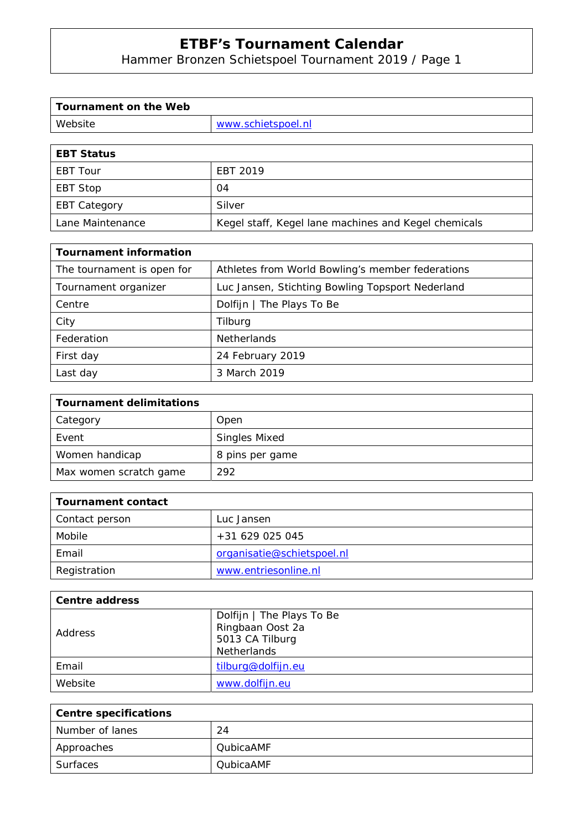Hammer Bronzen Schietspoel Tournament 2019 / Page 1

| Tournament on the Web |                    |
|-----------------------|--------------------|
| Website               | www.schietspoel.nl |
|                       |                    |

| <b>EBT Status</b>   |                                                      |
|---------------------|------------------------------------------------------|
| EBT Tour            | EBT 2019                                             |
| EBT Stop            | 04                                                   |
| <b>EBT Category</b> | Silver                                               |
| Lane Maintenance    | Kegel staff, Kegel lane machines and Kegel chemicals |

| <b>Tournament information</b> |                                                  |
|-------------------------------|--------------------------------------------------|
| The tournament is open for    | Athletes from World Bowling's member federations |
| Tournament organizer          | Luc Jansen, Stichting Bowling Topsport Nederland |
| Centre                        | Dolfijn   The Plays To Be                        |
| City                          | Tilburg                                          |
| Federation                    | <b>Netherlands</b>                               |
| First day                     | 24 February 2019                                 |
| Last day                      | 3 March 2019                                     |

| <b>Tournament delimitations</b> |                      |
|---------------------------------|----------------------|
| Category                        | Open                 |
| Event                           | <b>Singles Mixed</b> |
| Women handicap                  | 8 pins per game      |
| Max women scratch game          | 292                  |

| Tournament contact |                            |
|--------------------|----------------------------|
| Contact person     | Luc Jansen                 |
| Mobile             | +31 629 025 045            |
| Email              | organisatie@schietspoel.nl |
| Registration       | www.entriesonline.nl       |

| Centre address |                                                                                        |
|----------------|----------------------------------------------------------------------------------------|
| Address        | Dolfijn   The Plays To Be<br>Ringbaan Oost 2a<br>5013 CA Tilburg<br><b>Netherlands</b> |
| Email          | tilburg@dolfijn.eu                                                                     |
| Website        | www.dolfijn.eu                                                                         |

| <b>Centre specifications</b> |                  |
|------------------------------|------------------|
| Number of lanes              | 24               |
| Approaches                   | <b>QubicaAMF</b> |
| Surfaces                     | <b>OubicaAMF</b> |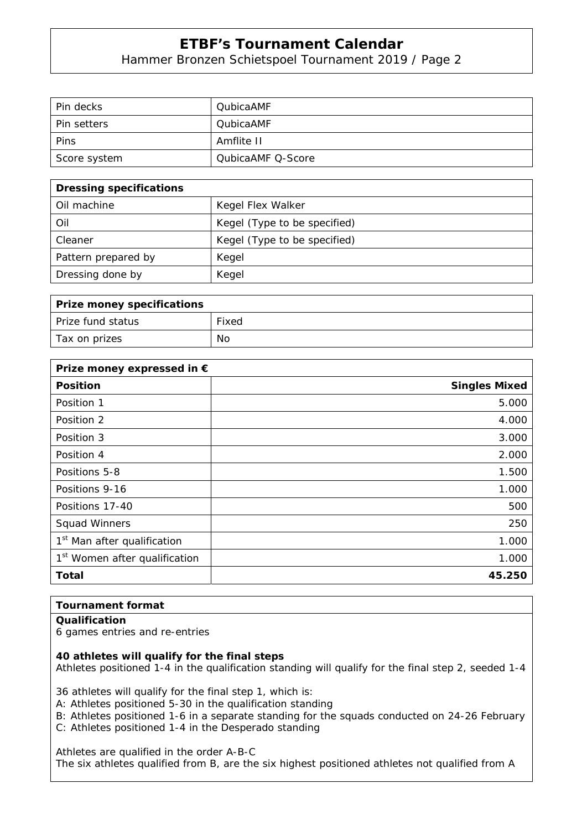Hammer Bronzen Schietspoel Tournament 2019 / Page 2

| Pin decks          | <b>QubicaAMF</b>  |
|--------------------|-------------------|
| <b>Pin setters</b> | <b>QubicaAMF</b>  |
| Pins               | Amflite II        |
| Score system       | QubicaAMF Q-Score |

| <b>Dressing specifications</b> |                              |
|--------------------------------|------------------------------|
| Oil machine                    | Kegel Flex Walker            |
| Oil                            | Kegel (Type to be specified) |
| Cleaner                        | Kegel (Type to be specified) |
| Pattern prepared by            | Kegel                        |
| Dressing done by               | Kegel                        |

| Prize money specifications |       |
|----------------------------|-------|
| Prize fund status          | Fixed |
| Tax on prizes              | No    |

| Prize money expressed in €                |                      |
|-------------------------------------------|----------------------|
| <b>Position</b>                           | <b>Singles Mixed</b> |
| Position 1                                | 5.000                |
| Position 2                                | 4.000                |
| Position 3                                | 3.000                |
| Position 4                                | 2.000                |
| Positions 5-8                             | 1.500                |
| Positions 9-16                            | 1.000                |
| Positions 17-40                           | 500                  |
| <b>Squad Winners</b>                      | 250                  |
| 1 <sup>st</sup> Man after qualification   | 1.000                |
| 1 <sup>st</sup> Women after qualification | 1.000                |
| <b>Total</b>                              | 45.250               |

### **Tournament format**

#### **Qualification**

6 games entries and re-entries

#### **40 athletes will qualify for the final steps**

Athletes positioned 1-4 in the qualification standing will qualify for the final step 2, seeded 1-4

36 athletes will qualify for the final step 1, which is:

A: Athletes positioned 5-30 in the qualification standing

B: Athletes positioned 1-6 in a separate standing for the squads conducted on 24-26 February

C: Athletes positioned 1-4 in the Desperado standing

Athletes are qualified in the order A-B-C

The six athletes qualified from B, are the six highest positioned athletes not qualified from A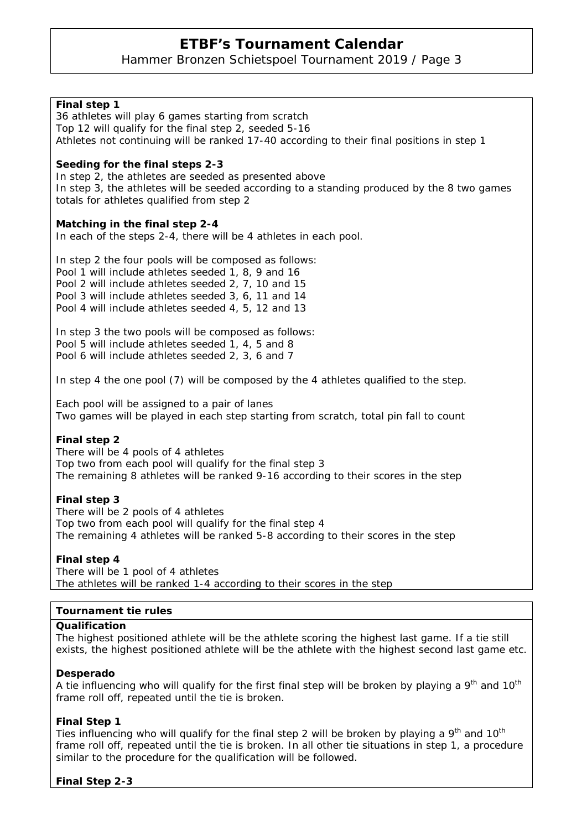Hammer Bronzen Schietspoel Tournament 2019 / Page 3

| Final step 1<br>36 athletes will play 6 games starting from scratch<br>Top 12 will qualify for the final step 2, seeded 5-16<br>Athletes not continuing will be ranked 17-40 according to their final positions in step 1                                                        |
|----------------------------------------------------------------------------------------------------------------------------------------------------------------------------------------------------------------------------------------------------------------------------------|
| Seeding for the final steps 2-3<br>In step 2, the athletes are seeded as presented above<br>In step 3, the athletes will be seeded according to a standing produced by the 8 two games<br>totals for athletes qualified from step 2                                              |
| Matching in the final step 2-4<br>In each of the steps 2-4, there will be 4 athletes in each pool.                                                                                                                                                                               |
| In step 2 the four pools will be composed as follows:<br>Pool 1 will include athletes seeded 1, 8, 9 and 16<br>Pool 2 will include athletes seeded 2, 7, 10 and 15<br>Pool 3 will include athletes seeded 3, 6, 11 and 14<br>Pool 4 will include athletes seeded 4, 5, 12 and 13 |
| In step 3 the two pools will be composed as follows:<br>Pool 5 will include athletes seeded 1, 4, 5 and 8<br>Pool 6 will include athletes seeded 2, 3, 6 and 7                                                                                                                   |
| In step 4 the one pool (7) will be composed by the 4 athletes qualified to the step.                                                                                                                                                                                             |
| Each pool will be assigned to a pair of lanes<br>Two games will be played in each step starting from scratch, total pin fall to count                                                                                                                                            |
| Final step 2<br>There will be 4 pools of 4 athletes<br>Top two from each pool will qualify for the final step 3<br>The remaining 8 athletes will be ranked 9-16 according to their scores in the step                                                                            |
| Final step 3<br>There will be 2 pools of 4 athletes<br>Top two from each pool will qualify for the final step 4<br>The remaining 4 athletes will be ranked 5-8 according to their scores in the step                                                                             |
| Final step 4<br>There will be 1 pool of 4 athletes<br>The athletes will be ranked 1-4 according to their scores in the step                                                                                                                                                      |
| <b>Tournament tie rules</b>                                                                                                                                                                                                                                                      |
| Qualification                                                                                                                                                                                                                                                                    |
| The highest positioned athlete will be the athlete scoring the highest last game. If a tie still<br>exists, the highest positioned athlete will be the athlete with the highest second last game etc.                                                                            |
| Desperado                                                                                                                                                                                                                                                                        |

A tie influencing who will qualify for the first final step will be broken by playing a 9<sup>th</sup> and 10<sup>th</sup> frame roll off, repeated until the tie is broken.

### **Final Step 1**

Ties influencing who will qualify for the final step 2 will be broken by playing a  $9<sup>th</sup>$  and  $10<sup>th</sup>$ frame roll off, repeated until the tie is broken. In all other tie situations in step 1, a procedure similar to the procedure for the qualification will be followed.

### **Final Step 2-3**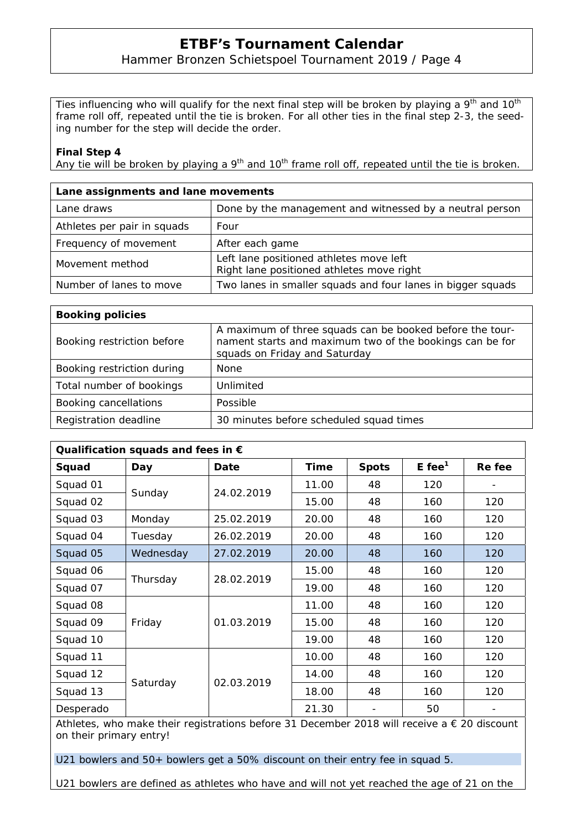### Hammer Bronzen Schietspoel Tournament 2019 / Page 4

Ties influencing who will qualify for the next final step will be broken by playing a  $9<sup>th</sup>$  and  $10<sup>th</sup>$ frame roll off, repeated until the tie is broken. For all other ties in the final step 2-3, the seeding number for the step will decide the order.

#### **Final Step 4**

Any tie will be broken by playing a  $9<sup>th</sup>$  and 10<sup>th</sup> frame roll off, repeated until the tie is broken.

| Lane assignments and lane movements |                                                                                      |  |  |  |  |
|-------------------------------------|--------------------------------------------------------------------------------------|--|--|--|--|
| Lane draws                          | Done by the management and witnessed by a neutral person                             |  |  |  |  |
| Athletes per pair in squads         | Four                                                                                 |  |  |  |  |
| Frequency of movement               | After each game                                                                      |  |  |  |  |
| Movement method                     | Left lane positioned athletes move left<br>Right lane positioned athletes move right |  |  |  |  |
| Number of lanes to move             | Two lanes in smaller squads and four lanes in bigger squads                          |  |  |  |  |

| <b>Booking policies</b>    |                                                                                                                                                       |  |  |  |  |
|----------------------------|-------------------------------------------------------------------------------------------------------------------------------------------------------|--|--|--|--|
| Booking restriction before | A maximum of three squads can be booked before the tour-<br>nament starts and maximum two of the bookings can be for<br>squads on Friday and Saturday |  |  |  |  |
| Booking restriction during | <b>None</b>                                                                                                                                           |  |  |  |  |
| Total number of bookings   | Unlimited                                                                                                                                             |  |  |  |  |
| Booking cancellations      | Possible                                                                                                                                              |  |  |  |  |
| Registration deadline      | 30 minutes before scheduled squad times                                                                                                               |  |  |  |  |

| Qualification squads and fees in $\epsilon$ |           |            |       |              |                      |        |  |  |  |
|---------------------------------------------|-----------|------------|-------|--------------|----------------------|--------|--|--|--|
| Squad                                       | Day       | Date       | Time  | <b>Spots</b> | $E$ fee <sup>1</sup> | Re fee |  |  |  |
| Squad 01                                    | Sunday    | 24.02.2019 | 11.00 | 48           | 120                  |        |  |  |  |
| Squad 02                                    |           |            | 15.00 | 48           | 160                  | 120    |  |  |  |
| Squad 03                                    | Monday    | 25.02.2019 | 20.00 | 48           | 160                  | 120    |  |  |  |
| Squad 04                                    | Tuesday   | 26.02.2019 | 20.00 | 48           | 160                  | 120    |  |  |  |
| Squad 05                                    | Wednesday | 27.02.2019 | 20.00 | 48           | 160                  | 120    |  |  |  |
| Squad 06                                    | Thursday  | 28.02.2019 | 15.00 | 48           | 160                  | 120    |  |  |  |
| Squad 07                                    |           |            | 19.00 | 48           | 160                  | 120    |  |  |  |
| Squad 08                                    | Friday    | 01.03.2019 | 11.00 | 48           | 160                  | 120    |  |  |  |
| Squad 09                                    |           |            | 15.00 | 48           | 160                  | 120    |  |  |  |
| Squad 10                                    |           |            | 19.00 | 48           | 160                  | 120    |  |  |  |
| Squad 11                                    | Saturday  | 02.03.2019 | 10.00 | 48           | 160                  | 120    |  |  |  |
| Squad 12                                    |           |            | 14.00 | 48           | 160                  | 120    |  |  |  |
| Squad 13                                    |           |            | 18.00 | 48           | 160                  | 120    |  |  |  |
| Desperado                                   |           |            | 21.30 |              | 50                   |        |  |  |  |

Athletes, who make their registrations before 31 December 2018 will receive a € 20 discount on their primary entry!

U21 bowlers and 50+ bowlers get a 50% discount on their entry fee in squad 5.

U21 bowlers are defined as athletes who have and will not yet reached the age of 21 on the